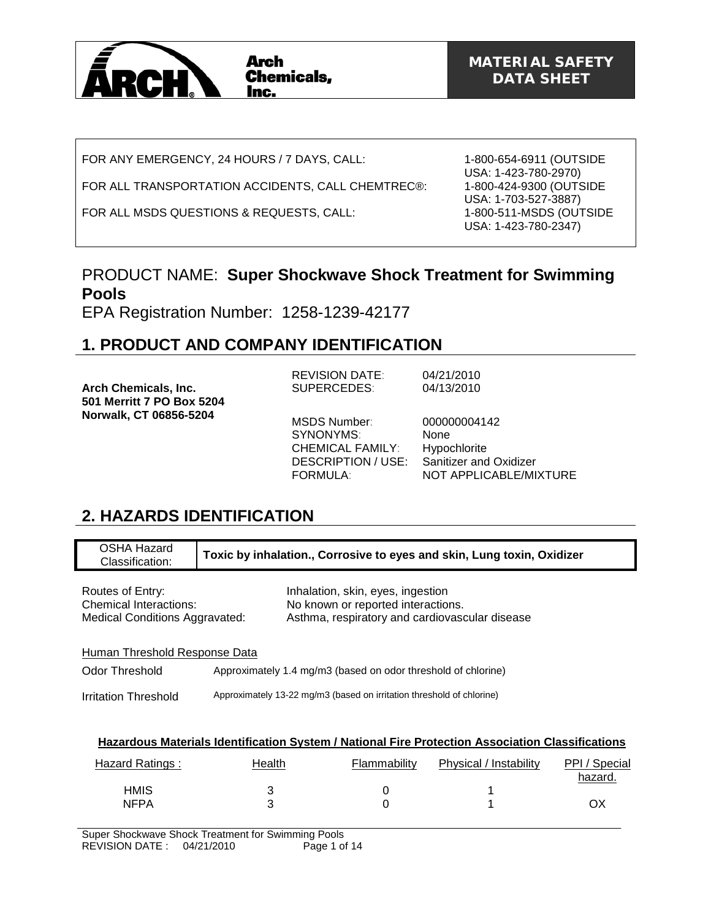

FOR ANY EMERGENCY, 24 HOURS / 7 DAYS, CALL:

## FOR ALL TRANSPORTATION ACCIDENTS, CALL CHEMTREC®:

FOR ALL MSDS QUESTIONS & REQUESTS, CALL:

1-800-654-6911 (OUTSIDE USA: 1-423-780-2970) 1-800-424-9300 (OUTSIDE USA: 1-703-527-3887) 1-800-511-MSDS (OUTSIDE USA: 1-423-780-2347)

## PRODUCT NAME: **Super Shockwave Shock Treatment for Swimming Pools**

EPA Registration Number: 1258-1239-42177

# **1. PRODUCT AND COMPANY IDENTIFICATION**

|                                                          | <b>REVISION DATE:</b>                                                                         | 04/21/2010                                                                                             |
|----------------------------------------------------------|-----------------------------------------------------------------------------------------------|--------------------------------------------------------------------------------------------------------|
| <b>Arch Chemicals, Inc.</b><br>501 Merritt 7 PO Box 5204 | SUPERCEDES:                                                                                   | 04/13/2010                                                                                             |
| Norwalk, CT 06856-5204                                   | MSDS Number:<br>SYNONYMS:<br><b>CHEMICAL FAMILY:</b><br>DESCRIPTION / USE:<br><b>FORMULA:</b> | 000000004142<br><b>None</b><br>Hypochlorite<br><b>Sanitizer and Oxidizer</b><br>NOT APPLICABLE/MIXTURE |

# **2. HAZARDS IDENTIFICATION**

| OSHA Hazard<br>Classification:                                                                   |        |  |                                                                         | Toxic by inhalation., Corrosive to eyes and skin, Lung toxin, Oxidizer |                          |
|--------------------------------------------------------------------------------------------------|--------|--|-------------------------------------------------------------------------|------------------------------------------------------------------------|--------------------------|
| Routes of Entry:<br><b>Chemical Interactions:</b><br><b>Medical Conditions Aggravated:</b>       |        |  | Inhalation, skin, eyes, ingestion<br>No known or reported interactions. | Asthma, respiratory and cardiovascular disease                         |                          |
| Human Threshold Response Data                                                                    |        |  |                                                                         |                                                                        |                          |
| Odor Threshold                                                                                   |        |  | Approximately 1.4 mg/m3 (based on odor threshold of chlorine)           |                                                                        |                          |
| Irritation Threshold                                                                             |        |  | Approximately 13-22 mg/m3 (based on irritation threshold of chlorine)   |                                                                        |                          |
|                                                                                                  |        |  |                                                                         |                                                                        |                          |
| Hazardous Materials Identification System / National Fire Protection Association Classifications |        |  |                                                                         |                                                                        |                          |
| <b>Hazard Ratings:</b>                                                                           | Health |  | Flammability                                                            | Physical / Instability                                                 | PPI / Special<br>hazard. |
| <b>HMIS</b>                                                                                      | 3      |  | 0                                                                       |                                                                        |                          |

NFPA 3 0 1 OX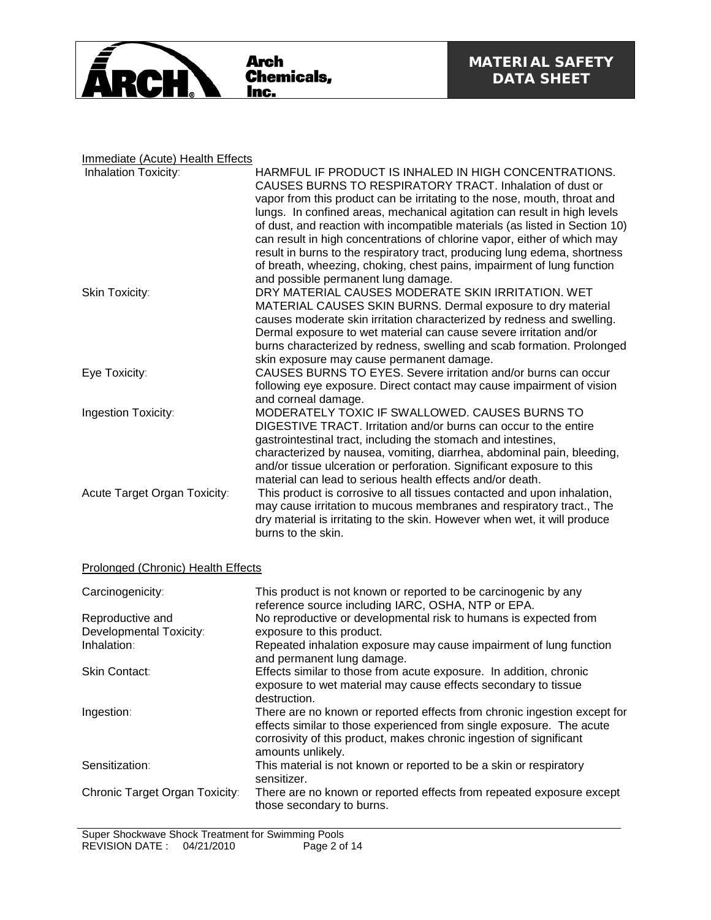

## Immediate (Acute) Health Effects

| HARMFUL IF PRODUCT IS INHALED IN HIGH CONCENTRATIONS.<br>CAUSES BURNS TO RESPIRATORY TRACT. Inhalation of dust or |
|-------------------------------------------------------------------------------------------------------------------|
| vapor from this product can be irritating to the nose, mouth, throat and                                          |
| lungs. In confined areas, mechanical agitation can result in high levels                                          |
| of dust, and reaction with incompatible materials (as listed in Section 10)                                       |
| can result in high concentrations of chlorine vapor, either of which may                                          |
| result in burns to the respiratory tract, producing lung edema, shortness                                         |
| of breath, wheezing, choking, chest pains, impairment of lung function                                            |
| and possible permanent lung damage.                                                                               |
| DRY MATERIAL CAUSES MODERATE SKIN IRRITATION. WET                                                                 |
| MATERIAL CAUSES SKIN BURNS. Dermal exposure to dry material                                                       |
| causes moderate skin irritation characterized by redness and swelling.                                            |
| Dermal exposure to wet material can cause severe irritation and/or                                                |
| burns characterized by redness, swelling and scab formation. Prolonged                                            |
| skin exposure may cause permanent damage.                                                                         |
| CAUSES BURNS TO EYES. Severe irritation and/or burns can occur                                                    |
| following eye exposure. Direct contact may cause impairment of vision<br>and corneal damage.                      |
| MODERATELY TOXIC IF SWALLOWED. CAUSES BURNS TO                                                                    |
| DIGESTIVE TRACT. Irritation and/or burns can occur to the entire                                                  |
| gastrointestinal tract, including the stomach and intestines,                                                     |
| characterized by nausea, vomiting, diarrhea, abdominal pain, bleeding,                                            |
| and/or tissue ulceration or perforation. Significant exposure to this                                             |
| material can lead to serious health effects and/or death.                                                         |
| This product is corrosive to all tissues contacted and upon inhalation,                                           |
| may cause irritation to mucous membranes and respiratory tract., The                                              |
| dry material is irritating to the skin. However when wet, it will produce                                         |
| burns to the skin.                                                                                                |
|                                                                                                                   |

## Prolonged (Chronic) Health Effects

| Carcinogenicity:               | This product is not known or reported to be carcinogenic by any<br>reference source including IARC, OSHA, NTP or EPA.                                                                                                                        |
|--------------------------------|----------------------------------------------------------------------------------------------------------------------------------------------------------------------------------------------------------------------------------------------|
| Reproductive and               | No reproductive or developmental risk to humans is expected from                                                                                                                                                                             |
| Developmental Toxicity:        | exposure to this product.                                                                                                                                                                                                                    |
| Inhalation:                    | Repeated inhalation exposure may cause impairment of lung function<br>and permanent lung damage.                                                                                                                                             |
| <b>Skin Contact:</b>           | Effects similar to those from acute exposure. In addition, chronic<br>exposure to wet material may cause effects secondary to tissue<br>destruction.                                                                                         |
| Ingestion:                     | There are no known or reported effects from chronic ingestion except for<br>effects similar to those experienced from single exposure. The acute<br>corrosivity of this product, makes chronic ingestion of significant<br>amounts unlikely. |
| Sensitization:                 | This material is not known or reported to be a skin or respiratory<br>sensitizer.                                                                                                                                                            |
| Chronic Target Organ Toxicity: | There are no known or reported effects from repeated exposure except<br>those secondary to burns.                                                                                                                                            |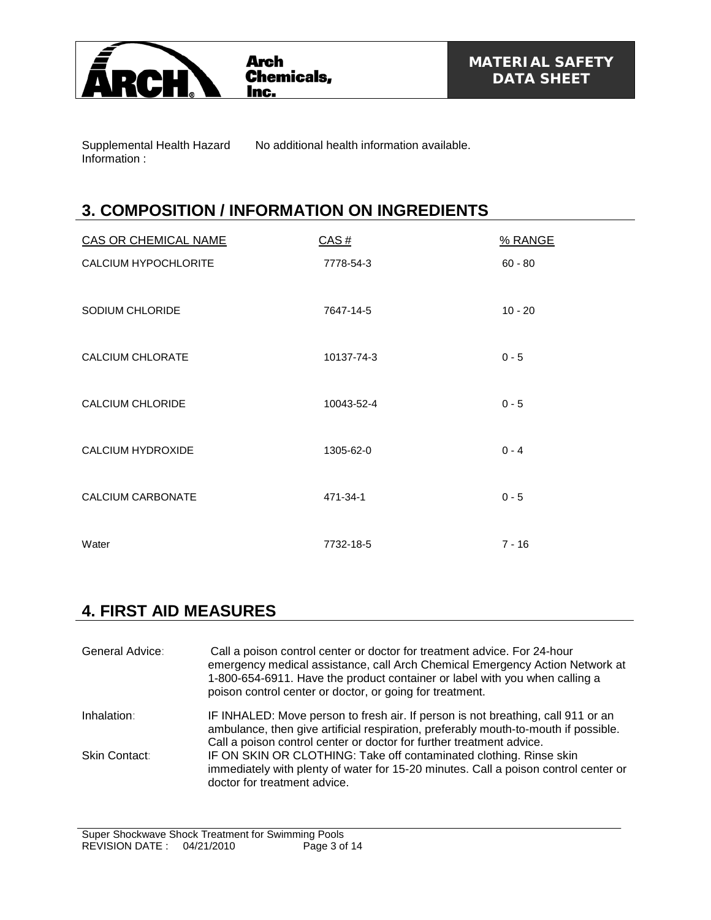

Supplemental Health Hazard Information :

No additional health information available.

# **3. COMPOSITION / INFORMATION ON INGREDIENTS**

| <b>CAS OR CHEMICAL NAME</b> | CAS#       | % RANGE   |
|-----------------------------|------------|-----------|
| <b>CALCIUM HYPOCHLORITE</b> | 7778-54-3  | $60 - 80$ |
|                             |            |           |
| SODIUM CHLORIDE             | 7647-14-5  | $10 - 20$ |
|                             |            |           |
| <b>CALCIUM CHLORATE</b>     | 10137-74-3 | $0 - 5$   |
|                             |            |           |
| <b>CALCIUM CHLORIDE</b>     | 10043-52-4 | $0 - 5$   |
| <b>CALCIUM HYDROXIDE</b>    | 1305-62-0  | $0 - 4$   |
|                             |            |           |
| <b>CALCIUM CARBONATE</b>    | 471-34-1   | $0 - 5$   |
|                             |            |           |
| Water                       | 7732-18-5  | $7 - 16$  |

# **4. FIRST AID MEASURES**

| General Advice: | Call a poison control center or doctor for treatment advice. For 24-hour<br>emergency medical assistance, call Arch Chemical Emergency Action Network at<br>1-800-654-6911. Have the product container or label with you when calling a<br>poison control center or doctor, or going for treatment. |
|-----------------|-----------------------------------------------------------------------------------------------------------------------------------------------------------------------------------------------------------------------------------------------------------------------------------------------------|
| Inhalation:     | IF INHALED: Move person to fresh air. If person is not breathing, call 911 or an<br>ambulance, then give artificial respiration, preferably mouth-to-mouth if possible.<br>Call a poison control center or doctor for further treatment advice.                                                     |
| Skin Contact:   | IF ON SKIN OR CLOTHING: Take off contaminated clothing. Rinse skin<br>immediately with plenty of water for 15-20 minutes. Call a poison control center or<br>doctor for treatment advice.                                                                                                           |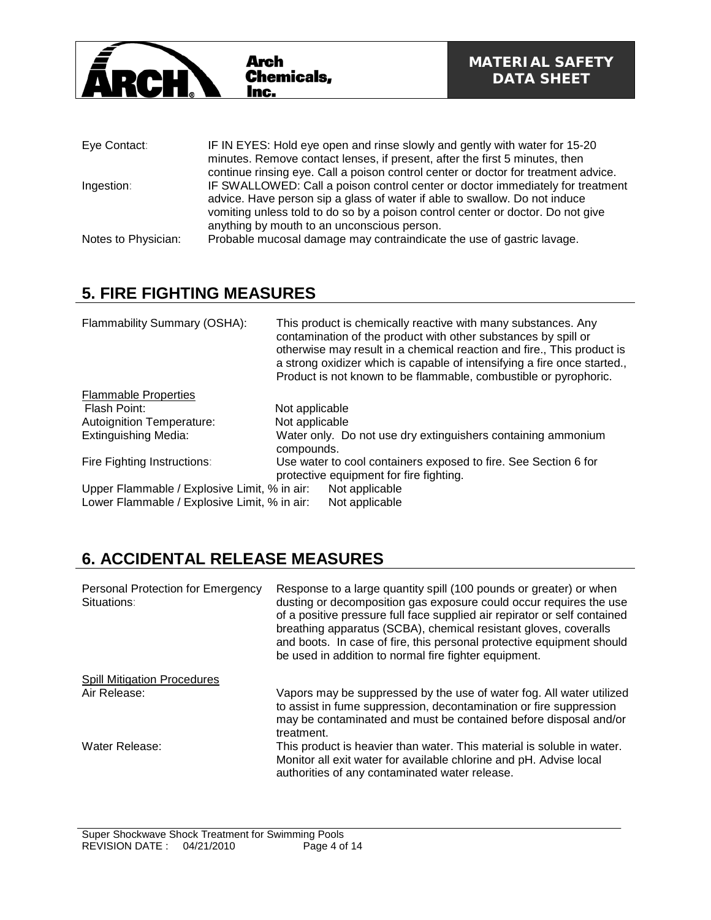

| Eye Contact:        | IF IN EYES: Hold eye open and rinse slowly and gently with water for 15-20         |
|---------------------|------------------------------------------------------------------------------------|
|                     | minutes. Remove contact lenses, if present, after the first 5 minutes, then        |
|                     | continue rinsing eye. Call a poison control center or doctor for treatment advice. |
| Ingestion:          | IF SWALLOWED: Call a poison control center or doctor immediately for treatment     |
|                     | advice. Have person sip a glass of water if able to swallow. Do not induce         |
|                     | vomiting unless told to do so by a poison control center or doctor. Do not give    |
|                     | anything by mouth to an unconscious person.                                        |
| Notes to Physician: | Probable mucosal damage may contraindicate the use of gastric lavage.              |

# **5. FIRE FIGHTING MEASURES**

| Flammability Summary (OSHA):                 | This product is chemically reactive with many substances. Any<br>contamination of the product with other substances by spill or<br>otherwise may result in a chemical reaction and fire., This product is<br>a strong oxidizer which is capable of intensifying a fire once started.,<br>Product is not known to be flammable, combustible or pyrophoric. |
|----------------------------------------------|-----------------------------------------------------------------------------------------------------------------------------------------------------------------------------------------------------------------------------------------------------------------------------------------------------------------------------------------------------------|
| <b>Flammable Properties</b>                  |                                                                                                                                                                                                                                                                                                                                                           |
| Flash Point:                                 | Not applicable                                                                                                                                                                                                                                                                                                                                            |
| <b>Autoignition Temperature:</b>             | Not applicable                                                                                                                                                                                                                                                                                                                                            |
| <b>Extinguishing Media:</b>                  | Water only. Do not use dry extinguishers containing ammonium<br>compounds.                                                                                                                                                                                                                                                                                |
| Fire Fighting Instructions:                  | Use water to cool containers exposed to fire. See Section 6 for<br>protective equipment for fire fighting.                                                                                                                                                                                                                                                |
| Upper Flammable / Explosive Limit, % in air: | Not applicable                                                                                                                                                                                                                                                                                                                                            |
| Lower Flammable / Explosive Limit, % in air: | Not applicable                                                                                                                                                                                                                                                                                                                                            |

# **6. ACCIDENTAL RELEASE MEASURES**

| Personal Protection for Emergency<br>Situations: | Response to a large quantity spill (100 pounds or greater) or when<br>dusting or decomposition gas exposure could occur requires the use<br>of a positive pressure full face supplied air repirator or self contained<br>breathing apparatus (SCBA), chemical resistant gloves, coveralls<br>and boots. In case of fire, this personal protective equipment should<br>be used in addition to normal fire fighter equipment. |
|--------------------------------------------------|-----------------------------------------------------------------------------------------------------------------------------------------------------------------------------------------------------------------------------------------------------------------------------------------------------------------------------------------------------------------------------------------------------------------------------|
| <b>Spill Mitigation Procedures</b>               |                                                                                                                                                                                                                                                                                                                                                                                                                             |
| Air Release:                                     | Vapors may be suppressed by the use of water fog. All water utilized<br>to assist in fume suppression, decontamination or fire suppression<br>may be contaminated and must be contained before disposal and/or<br>treatment.                                                                                                                                                                                                |
| Water Release:                                   | This product is heavier than water. This material is soluble in water.<br>Monitor all exit water for available chlorine and pH. Advise local<br>authorities of any contaminated water release.                                                                                                                                                                                                                              |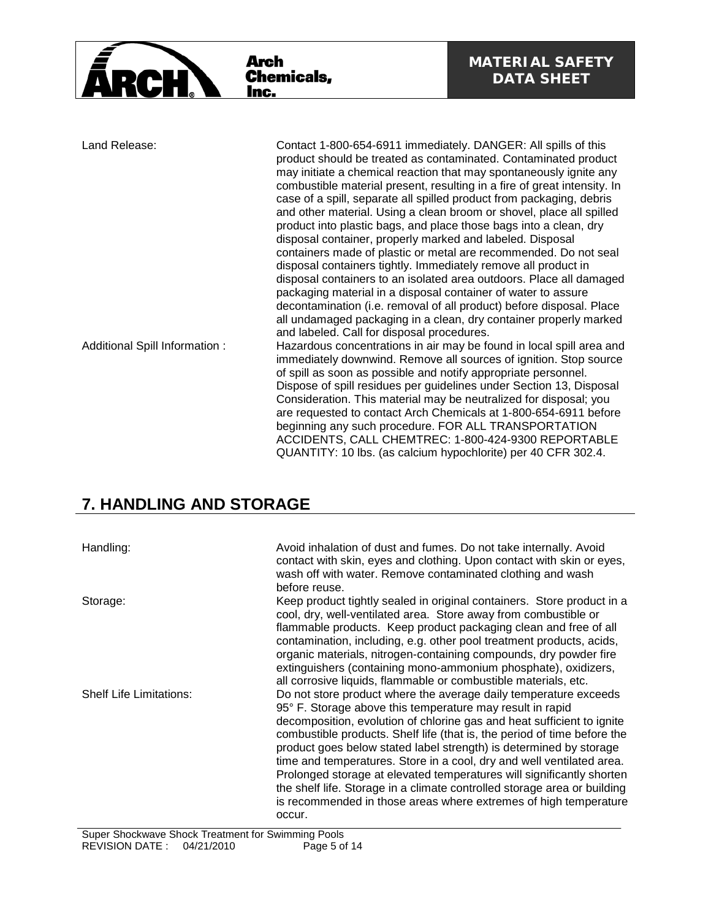

| Land Release:                 | Contact 1-800-654-6911 immediately. DANGER: All spills of this<br>product should be treated as contaminated. Contaminated product<br>may initiate a chemical reaction that may spontaneously ignite any<br>combustible material present, resulting in a fire of great intensity. In<br>case of a spill, separate all spilled product from packaging, debris<br>and other material. Using a clean broom or shovel, place all spilled<br>product into plastic bags, and place those bags into a clean, dry<br>disposal container, properly marked and labeled. Disposal<br>containers made of plastic or metal are recommended. Do not seal |
|-------------------------------|-------------------------------------------------------------------------------------------------------------------------------------------------------------------------------------------------------------------------------------------------------------------------------------------------------------------------------------------------------------------------------------------------------------------------------------------------------------------------------------------------------------------------------------------------------------------------------------------------------------------------------------------|
|                               | disposal containers tightly. Immediately remove all product in<br>disposal containers to an isolated area outdoors. Place all damaged<br>packaging material in a disposal container of water to assure<br>decontamination (i.e. removal of all product) before disposal. Place<br>all undamaged packaging in a clean, dry container properly marked<br>and labeled. Call for disposal procedures.                                                                                                                                                                                                                                         |
| Additional Spill Information: | Hazardous concentrations in air may be found in local spill area and<br>immediately downwind. Remove all sources of ignition. Stop source<br>of spill as soon as possible and notify appropriate personnel.<br>Dispose of spill residues per guidelines under Section 13, Disposal<br>Consideration. This material may be neutralized for disposal; you<br>are requested to contact Arch Chemicals at 1-800-654-6911 before<br>beginning any such procedure. FOR ALL TRANSPORTATION<br>ACCIDENTS, CALL CHEMTREC: 1-800-424-9300 REPORTABLE<br>QUANTITY: 10 lbs. (as calcium hypochlorite) per 40 CFR 302.4.                               |

# **7. HANDLING AND STORAGE**

| Handling:                      | Avoid inhalation of dust and fumes. Do not take internally. Avoid<br>contact with skin, eyes and clothing. Upon contact with skin or eyes,<br>wash off with water. Remove contaminated clothing and wash<br>before reuse.                                                                                                                                                                                                                                                                                                                                                                                                                                             |
|--------------------------------|-----------------------------------------------------------------------------------------------------------------------------------------------------------------------------------------------------------------------------------------------------------------------------------------------------------------------------------------------------------------------------------------------------------------------------------------------------------------------------------------------------------------------------------------------------------------------------------------------------------------------------------------------------------------------|
| Storage:                       | Keep product tightly sealed in original containers. Store product in a<br>cool, dry, well-ventilated area. Store away from combustible or<br>flammable products. Keep product packaging clean and free of all<br>contamination, including, e.g. other pool treatment products, acids,<br>organic materials, nitrogen-containing compounds, dry powder fire<br>extinguishers (containing mono-ammonium phosphate), oxidizers,<br>all corrosive liquids, flammable or combustible materials, etc.                                                                                                                                                                       |
| <b>Shelf Life Limitations:</b> | Do not store product where the average daily temperature exceeds<br>95° F. Storage above this temperature may result in rapid<br>decomposition, evolution of chlorine gas and heat sufficient to ignite<br>combustible products. Shelf life (that is, the period of time before the<br>product goes below stated label strength) is determined by storage<br>time and temperatures. Store in a cool, dry and well ventilated area.<br>Prolonged storage at elevated temperatures will significantly shorten<br>the shelf life. Storage in a climate controlled storage area or building<br>is recommended in those areas where extremes of high temperature<br>occur. |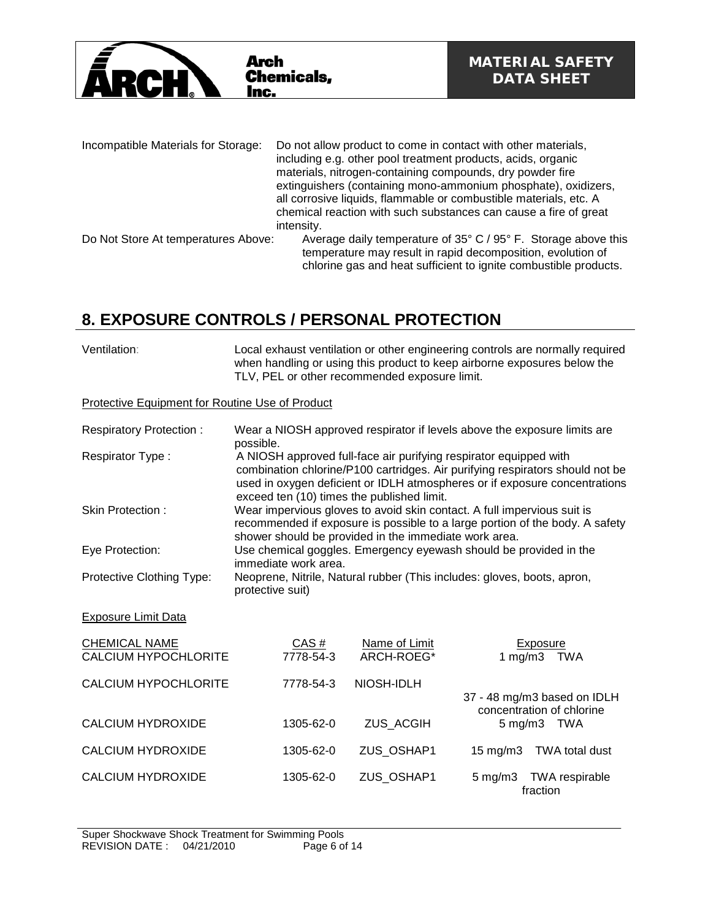

| Incompatible Materials for Storage: | Do not allow product to come in contact with other materials,<br>including e.g. other pool treatment products, acids, organic<br>materials, nitrogen-containing compounds, dry powder fire<br>extinguishers (containing mono-ammonium phosphate), oxidizers,<br>all corrosive liquids, flammable or combustible materials, etc. A<br>chemical reaction with such substances can cause a fire of great<br>intensity. |
|-------------------------------------|---------------------------------------------------------------------------------------------------------------------------------------------------------------------------------------------------------------------------------------------------------------------------------------------------------------------------------------------------------------------------------------------------------------------|
| Do Not Store At temperatures Above: | Average daily temperature of 35° C / 95° F. Storage above this<br>temperature may result in rapid decomposition, evolution of<br>chlorine gas and heat sufficient to ignite combustible products.                                                                                                                                                                                                                   |

# **8. EXPOSURE CONTROLS / PERSONAL PROTECTION**

| Ventilation: | Local exhaust ventilation or other engineering controls are normally required<br>when handling or using this product to keep airborne exposures below the<br>TLV, PEL or other recommended exposure limit. |
|--------------|------------------------------------------------------------------------------------------------------------------------------------------------------------------------------------------------------------|
|              |                                                                                                                                                                                                            |

## Protective Equipment for Routine Use of Product

| <b>Respiratory Protection:</b>                      | possible.                                             |                             | Wear a NIOSH approved respirator if levels above the exposure limits are                                                                                                                                                         |
|-----------------------------------------------------|-------------------------------------------------------|-----------------------------|----------------------------------------------------------------------------------------------------------------------------------------------------------------------------------------------------------------------------------|
| Respirator Type:                                    | exceed ten (10) times the published limit.            |                             | A NIOSH approved full-face air purifying respirator equipped with<br>combination chlorine/P100 cartridges. Air purifying respirators should not be<br>used in oxygen deficient or IDLH atmospheres or if exposure concentrations |
| Skin Protection:                                    | shower should be provided in the immediate work area. |                             | Wear impervious gloves to avoid skin contact. A full impervious suit is<br>recommended if exposure is possible to a large portion of the body. A safety                                                                          |
| Eye Protection:                                     | immediate work area.                                  |                             | Use chemical goggles. Emergency eyewash should be provided in the                                                                                                                                                                |
| Protective Clothing Type:                           | protective suit)                                      |                             | Neoprene, Nitrile, Natural rubber (This includes: gloves, boots, apron,                                                                                                                                                          |
| <b>Exposure Limit Data</b>                          |                                                       |                             |                                                                                                                                                                                                                                  |
| <b>CHEMICAL NAME</b><br><b>CALCIUM HYPOCHLORITE</b> | CAS#<br>7778-54-3                                     | Name of Limit<br>ARCH-ROEG* | Exposure<br>1 mg/m $3$<br>TWA                                                                                                                                                                                                    |
| CALCIUM HYPOCHLORITE                                | 7778-54-3                                             | NIOSH-IDLH                  | 37 - 48 mg/m3 based on IDLH                                                                                                                                                                                                      |
| <b>CALCIUM HYDROXIDE</b>                            | 1305-62-0                                             | ZUS_ACGIH                   | concentration of chlorine<br>5 mg/m3 TWA                                                                                                                                                                                         |
| <b>CALCIUM HYDROXIDE</b>                            | 1305-62-0                                             | ZUS_OSHAP1                  | <b>TWA total dust</b><br>$15 \text{ mg/m}$                                                                                                                                                                                       |
| <b>CALCIUM HYDROXIDE</b>                            | 1305-62-0                                             | ZUS_OSHAP1                  | $5 \text{ mg/m}$ 3<br>TWA respirable<br>fraction                                                                                                                                                                                 |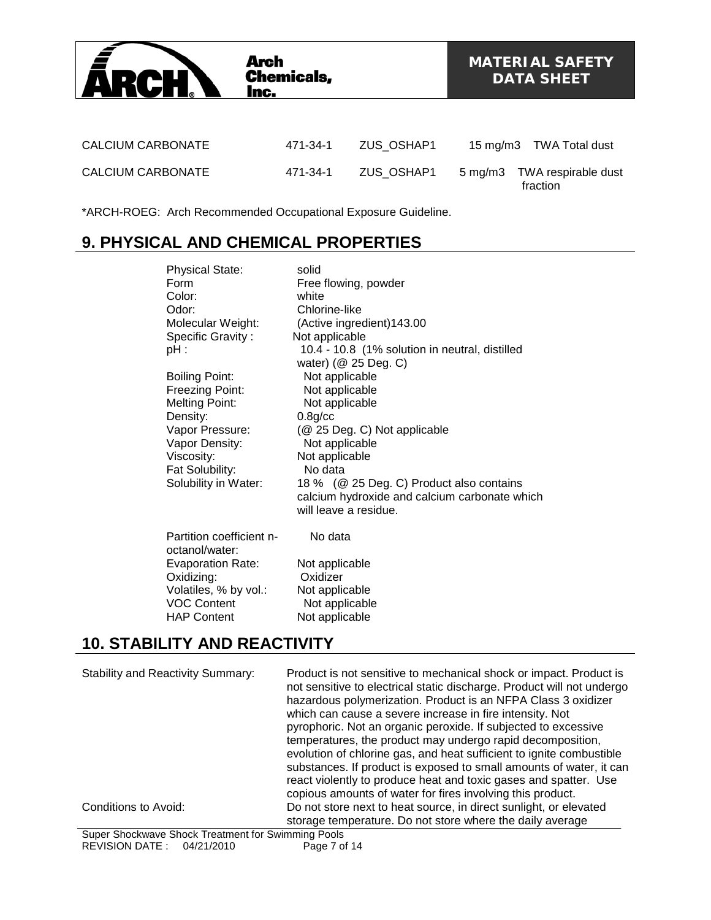

\*ARCH-ROEG: Arch Recommended Occupational Exposure Guideline.

# **9. PHYSICAL AND CHEMICAL PROPERTIES**

| <b>Physical State:</b>   | solid                                          |
|--------------------------|------------------------------------------------|
| Form                     | Free flowing, powder                           |
| Color:                   | white                                          |
| Odor:                    | Chlorine-like                                  |
| Molecular Weight:        | (Active ingredient) 143.00                     |
| Specific Gravity:        | Not applicable                                 |
| $pH$ :                   | 10.4 - 10.8 (1% solution in neutral, distilled |
|                          | water) (@ 25 Deg. C)                           |
| <b>Boiling Point:</b>    | Not applicable                                 |
| Freezing Point:          | Not applicable                                 |
| <b>Melting Point:</b>    | Not applicable                                 |
| Density:                 | $0.8$ g/cc                                     |
|                          |                                                |
| Vapor Pressure:          | (@ 25 Deg. C) Not applicable                   |
| Vapor Density:           | Not applicable                                 |
| Viscosity:               | Not applicable                                 |
| Fat Solubility:          | No data                                        |
| Solubility in Water:     | 18 % (@ 25 Deg. C) Product also contains       |
|                          | calcium hydroxide and calcium carbonate which  |
|                          | will leave a residue.                          |
| Partition coefficient n- | No data                                        |
| octanol/water:           |                                                |
| <b>Evaporation Rate:</b> |                                                |
|                          | Not applicable                                 |
| Oxidizing:               | Oxidizer                                       |
| Volatiles, % by vol.:    | Not applicable                                 |
| <b>VOC Content</b>       | Not applicable                                 |
| <b>HAP Content</b>       | Not applicable                                 |

# **10. STABILITY AND REACTIVITY**

| <b>Stability and Reactivity Summary:</b> | Product is not sensitive to mechanical shock or impact. Product is<br>not sensitive to electrical static discharge. Product will not undergo<br>hazardous polymerization. Product is an NFPA Class 3 oxidizer<br>which can cause a severe increase in fire intensity. Not<br>pyrophoric. Not an organic peroxide. If subjected to excessive<br>temperatures, the product may undergo rapid decomposition,<br>evolution of chlorine gas, and heat sufficient to ignite combustible<br>substances. If product is exposed to small amounts of water, it can<br>react violently to produce heat and toxic gases and spatter. Use<br>copious amounts of water for fires involving this product. |
|------------------------------------------|--------------------------------------------------------------------------------------------------------------------------------------------------------------------------------------------------------------------------------------------------------------------------------------------------------------------------------------------------------------------------------------------------------------------------------------------------------------------------------------------------------------------------------------------------------------------------------------------------------------------------------------------------------------------------------------------|
| Conditions to Avoid:                     | Do not store next to heat source, in direct sunlight, or elevated<br>storage temperature. Do not store where the daily average                                                                                                                                                                                                                                                                                                                                                                                                                                                                                                                                                             |

Super Shockwave Shock Treatment for Swimming Pools REVISION DATE : 04/21/2010 Page 7 of 14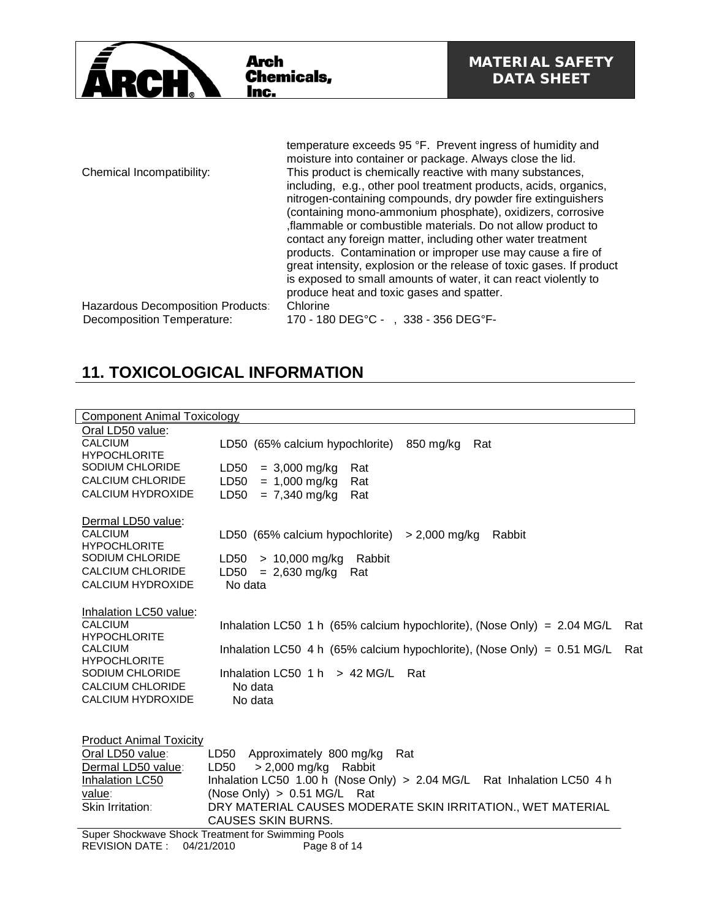

|                                                                 | temperature exceeds 95 °F. Prevent ingress of humidity and<br>moisture into container or package. Always close the lid.          |
|-----------------------------------------------------------------|----------------------------------------------------------------------------------------------------------------------------------|
| Chemical Incompatibility:                                       | This product is chemically reactive with many substances,                                                                        |
|                                                                 | including, e.g., other pool treatment products, acids, organics,<br>nitrogen-containing compounds, dry powder fire extinguishers |
|                                                                 | (containing mono-ammonium phosphate), oxidizers, corrosive                                                                       |
|                                                                 | flammable or combustible materials. Do not allow product to                                                                      |
|                                                                 | contact any foreign matter, including other water treatment<br>products. Contamination or improper use may cause a fire of       |
|                                                                 | great intensity, explosion or the release of toxic gases. If product                                                             |
|                                                                 | is exposed to small amounts of water, it can react violently to                                                                  |
|                                                                 | produce heat and toxic gases and spatter.                                                                                        |
| Hazardous Decomposition Products:<br>Decomposition Temperature: | Chlorine<br>170 - 180 DEG°C - , 338 - 356 DEG°F-                                                                                 |
|                                                                 |                                                                                                                                  |

# **11. TOXICOLOGICAL INFORMATION**

| <b>Component Animal Toxicology</b>    |                                                                           |     |
|---------------------------------------|---------------------------------------------------------------------------|-----|
| Oral LD50 value:                      |                                                                           |     |
| <b>CALCIUM</b>                        | LD50 (65% calcium hypochlorite)<br>850 mg/kg<br>Rat                       |     |
| <b>HYPOCHLORITE</b>                   |                                                                           |     |
| SODIUM CHLORIDE                       | LD50<br>$= 3,000$ mg/kg<br>Rat                                            |     |
| <b>CALCIUM CHLORIDE</b>               | LD50<br>$= 1,000$ mg/kg<br>Rat                                            |     |
| <b>CALCIUM HYDROXIDE</b>              | $= 7,340$ mg/kg<br>LD50<br>Rat                                            |     |
|                                       |                                                                           |     |
| Dermal LD50 value:                    |                                                                           |     |
| <b>CALCIUM</b><br><b>HYPOCHLORITE</b> | LD50 (65% calcium hypochlorite)<br>> 2,000 mg/kg<br>Rabbit                |     |
| SODIUM CHLORIDE                       | LD50<br>$> 10,000$ mg/kg<br>Rabbit                                        |     |
| <b>CALCIUM CHLORIDE</b>               | $= 2,630$ mg/kg<br>LD50<br>Rat                                            |     |
| <b>CALCIUM HYDROXIDE</b>              | No data                                                                   |     |
|                                       |                                                                           |     |
| Inhalation LC50 value:                |                                                                           |     |
| <b>CALCIUM</b>                        | Inhalation LC50 1 h (65% calcium hypochlorite), (Nose Only) = 2.04 MG/L   | Rat |
| <b>HYPOCHLORITE</b>                   |                                                                           |     |
| <b>CALCIUM</b>                        | Inhalation LC50 4 h (65% calcium hypochlorite), (Nose Only) = $0.51$ MG/L | Rat |
| <b>HYPOCHLORITE</b>                   |                                                                           |     |
| SODIUM CHLORIDE                       | Inhalation LC50 $1 h$ > 42 MG/L<br>Rat                                    |     |
| <b>CALCIUM CHLORIDE</b>               | No data                                                                   |     |
| <b>CALCIUM HYDROXIDE</b>              | No data                                                                   |     |
|                                       |                                                                           |     |
| <b>Product Animal Toxicity</b>        |                                                                           |     |
| Oral LD50 value:                      | Approximately 800 mg/kg<br>LD50<br>Rat                                    |     |
| Dermal LD50 value:                    | > 2,000 mg/kg Rabbit<br>LD50                                              |     |
| Inhalation LC50                       | Inhalation LC50 1.00 h (Nose Only) > 2.04 MG/L Rat Inhalation LC50 4 h    |     |
| value:                                | (Nose Only) $> 0.51$ MG/L Rat                                             |     |
| Skin Irritation:                      | DRY MATERIAL CAUSES MODERATE SKIN IRRITATION., WET MATERIAL               |     |
|                                       | <b>CAUSES SKIN BURNS.</b>                                                 |     |
|                                       | Super Shockwave Shock Treatment for Swimming Pools                        |     |
| <b>REVISION DATE:</b>                 | 04/21/2010<br>Page 8 of 14                                                |     |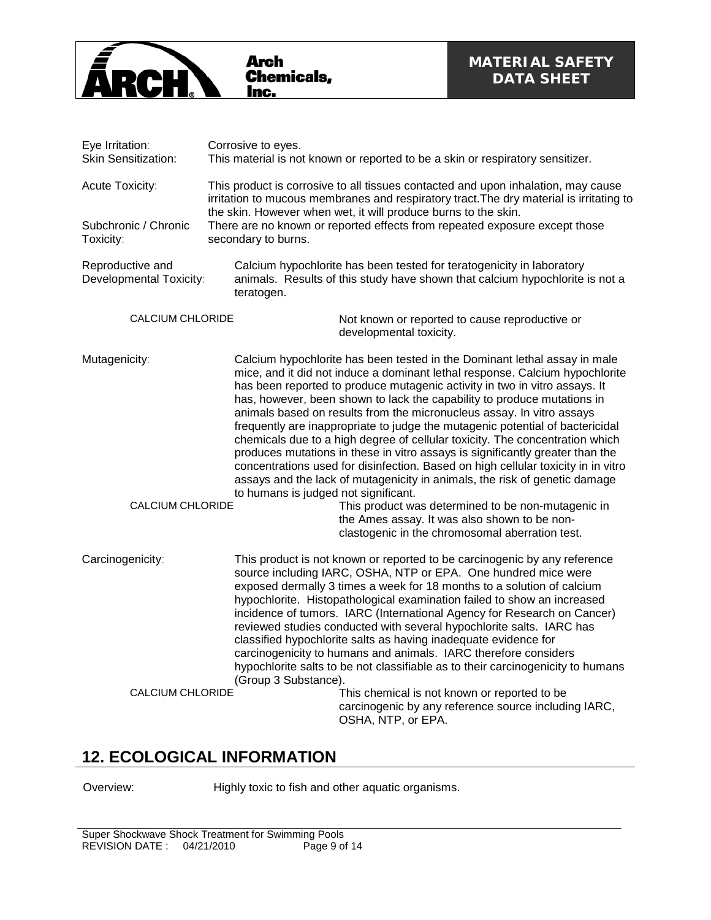

| Eye Irritation:<br><b>Skin Sensitization:</b>        | Corrosive to eyes.<br>This material is not known or reported to be a skin or respiratory sensitizer.                                                                                                                                                                                                                                                                                                                                                                                                                                                                                                                                                                                                                                                                                                                                                                                                                                                                                                              |  |  |  |  |
|------------------------------------------------------|-------------------------------------------------------------------------------------------------------------------------------------------------------------------------------------------------------------------------------------------------------------------------------------------------------------------------------------------------------------------------------------------------------------------------------------------------------------------------------------------------------------------------------------------------------------------------------------------------------------------------------------------------------------------------------------------------------------------------------------------------------------------------------------------------------------------------------------------------------------------------------------------------------------------------------------------------------------------------------------------------------------------|--|--|--|--|
| Acute Toxicity:<br>Subchronic / Chronic<br>Toxicity: | This product is corrosive to all tissues contacted and upon inhalation, may cause<br>irritation to mucous membranes and respiratory tract. The dry material is irritating to<br>the skin. However when wet, it will produce burns to the skin.<br>There are no known or reported effects from repeated exposure except those<br>secondary to burns.                                                                                                                                                                                                                                                                                                                                                                                                                                                                                                                                                                                                                                                               |  |  |  |  |
| Reproductive and<br>Developmental Toxicity:          | Calcium hypochlorite has been tested for teratogenicity in laboratory<br>animals. Results of this study have shown that calcium hypochlorite is not a<br>teratogen.                                                                                                                                                                                                                                                                                                                                                                                                                                                                                                                                                                                                                                                                                                                                                                                                                                               |  |  |  |  |
| <b>CALCIUM CHLORIDE</b>                              | Not known or reported to cause reproductive or<br>developmental toxicity.                                                                                                                                                                                                                                                                                                                                                                                                                                                                                                                                                                                                                                                                                                                                                                                                                                                                                                                                         |  |  |  |  |
| Mutagenicity:<br><b>CALCIUM CHLORIDE</b>             | Calcium hypochlorite has been tested in the Dominant lethal assay in male<br>mice, and it did not induce a dominant lethal response. Calcium hypochlorite<br>has been reported to produce mutagenic activity in two in vitro assays. It<br>has, however, been shown to lack the capability to produce mutations in<br>animals based on results from the micronucleus assay. In vitro assays<br>frequently are inappropriate to judge the mutagenic potential of bactericidal<br>chemicals due to a high degree of cellular toxicity. The concentration which<br>produces mutations in these in vitro assays is significantly greater than the<br>concentrations used for disinfection. Based on high cellular toxicity in in vitro<br>assays and the lack of mutagenicity in animals, the risk of genetic damage<br>to humans is judged not significant.<br>This product was determined to be non-mutagenic in<br>the Ames assay. It was also shown to be non-<br>clastogenic in the chromosomal aberration test. |  |  |  |  |
| Carcinogenicity:                                     | This product is not known or reported to be carcinogenic by any reference<br>source including IARC, OSHA, NTP or EPA. One hundred mice were<br>exposed dermally 3 times a week for 18 months to a solution of calcium<br>hypochlorite. Histopathological examination failed to show an increased<br>incidence of tumors. IARC (International Agency for Research on Cancer)<br>reviewed studies conducted with several hypochlorite salts. IARC has<br>classified hypochlorite salts as having inadequate evidence for<br>carcinogenicity to humans and animals. IARC therefore considers<br>hypochlorite salts to be not classifiable as to their carcinogenicity to humans<br>(Group 3 Substance).                                                                                                                                                                                                                                                                                                              |  |  |  |  |
| <b>CALCIUM CHLORIDE</b>                              | This chemical is not known or reported to be<br>carcinogenic by any reference source including IARC,<br>OSHA, NTP, or EPA.                                                                                                                                                                                                                                                                                                                                                                                                                                                                                                                                                                                                                                                                                                                                                                                                                                                                                        |  |  |  |  |

## **12. ECOLOGICAL INFORMATION**

Overview: Highly toxic to fish and other aquatic organisms.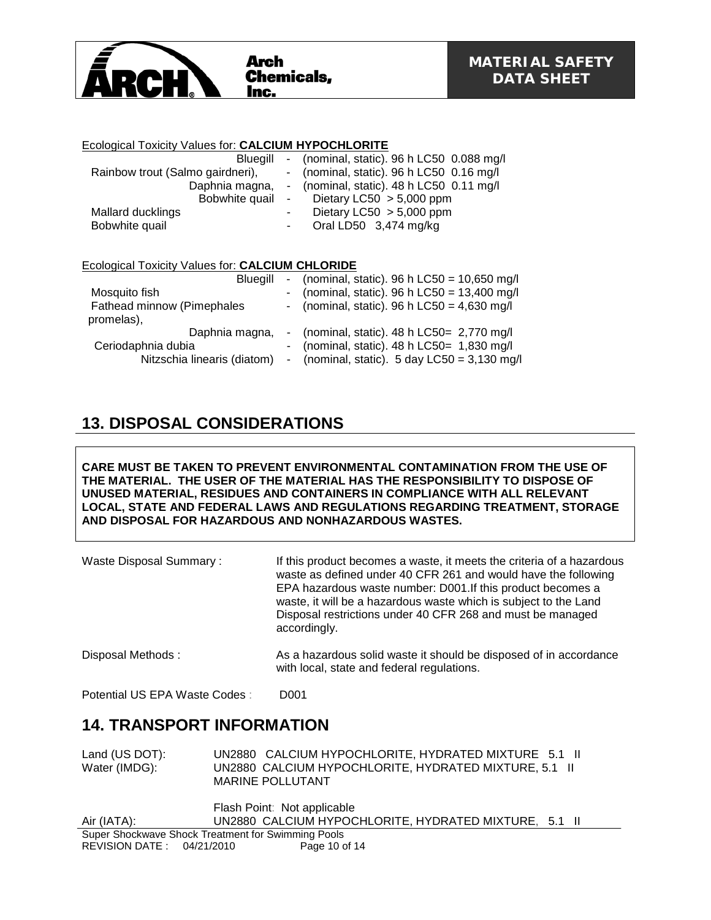

### Ecological Toxicity Values for: **CALCIUM HYPOCHLORITE**

| Bluegill                         |                | - (nominal, static). $96 h$ LC50 0.088 mg/l |
|----------------------------------|----------------|---------------------------------------------|
| Rainbow trout (Salmo gairdneri), |                | - (nominal, static). 96 h LC50 0.16 mg/l    |
| Daphnia magna,                   |                | - (nominal, static). $48 h$ LC50 0.11 mg/l  |
| Bobwhite quail                   | $\blacksquare$ | Dietary LC50 $> 5,000$ ppm                  |
| Mallard ducklings                | ٠              | Dietary LC50 $> 5,000$ ppm                  |
| Bobwhite quail                   | ۰              | Oral LD50 3,474 mg/kg                       |
|                                  |                |                                             |
|                                  |                |                                             |

### Ecological Toxicity Values for: **CALCIUM CHLORIDE**

| <b>Blueaill</b>             |  | - (nominal, static). 96 h LC50 = $10,650$ mg/l          |
|-----------------------------|--|---------------------------------------------------------|
| Mosquito fish               |  | - (nominal, static). 96 h LC50 = $13,400$ mg/l          |
| Fathead minnow (Pimephales  |  | - (nominal, static). 96 h LC50 = $4,630$ mg/l           |
| promelas),                  |  |                                                         |
| Daphnia magna,              |  | - (nominal, static). $48 h$ LC50 = 2,770 mg/l           |
| Ceriodaphnia dubia          |  | - (nominal, static). $48 h$ LC50= 1,830 mg/l            |
| Nitzschia linearis (diatom) |  | - (nominal, static). $5 \text{ day }$ LC50 = 3,130 mg/l |

## **13. DISPOSAL CONSIDERATIONS**

**CARE MUST BE TAKEN TO PREVENT ENVIRONMENTAL CONTAMINATION FROM THE USE OF THE MATERIAL. THE USER OF THE MATERIAL HAS THE RESPONSIBILITY TO DISPOSE OF UNUSED MATERIAL, RESIDUES AND CONTAINERS IN COMPLIANCE WITH ALL RELEVANT LOCAL, STATE AND FEDERAL LAWS AND REGULATIONS REGARDING TREATMENT, STORAGE AND DISPOSAL FOR HAZARDOUS AND NONHAZARDOUS WASTES.** 

| Waste Disposal Summary: | If this product becomes a waste, it meets the criteria of a hazardous<br>waste as defined under 40 CFR 261 and would have the following<br>EPA hazardous waste number: D001. If this product becomes a<br>waste, it will be a hazardous waste which is subject to the Land<br>Disposal restrictions under 40 CFR 268 and must be managed<br>accordingly. |
|-------------------------|----------------------------------------------------------------------------------------------------------------------------------------------------------------------------------------------------------------------------------------------------------------------------------------------------------------------------------------------------------|
| Disposal Methods:       | As a hazardous solid waste it should be disposed of in accordance<br>with local, state and federal regulations.                                                                                                                                                                                                                                          |

Potential US EPA Waste Codes : D001

## **14. TRANSPORT INFORMATION**

| Land (US DOT): | UN2880 CALCIUM HYPOCHLORITE, HYDRATED MIXTURE 5.1 II  |  |
|----------------|-------------------------------------------------------|--|
| Water (IMDG):  | UN2880 CALCIUM HYPOCHLORITE. HYDRATED MIXTURE, 5.1 II |  |
|                | <b>MARINE POLLUTANT</b>                               |  |

|                                                    | Flash Point: Not applicable |                                                       |  |
|----------------------------------------------------|-----------------------------|-------------------------------------------------------|--|
| Air (IATA):                                        |                             | UN2880 CALCIUM HYPOCHLORITE, HYDRATED MIXTURE, 5.1 II |  |
| Super Shockwave Shock Treatment for Swimming Pools |                             |                                                       |  |
| REVISION DATE: 04/21/2010                          |                             | Page 10 of 14                                         |  |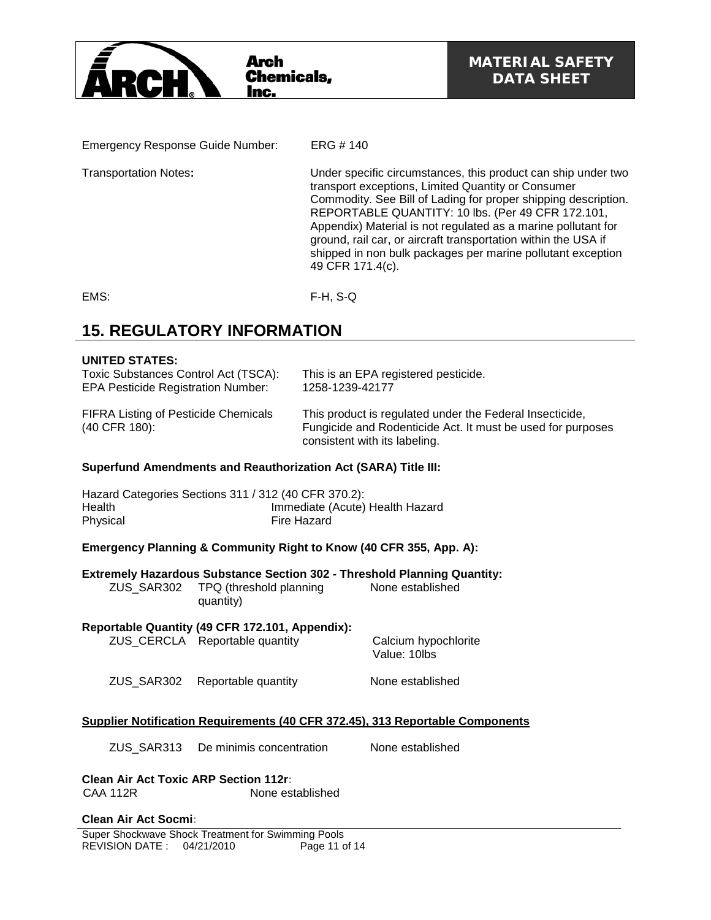

Emergency Response Guide Number: ERG # 140

Transportation Notes**:** Under specific circumstances, this product can ship under two transport exceptions, Limited Quantity or Consumer Commodity. See Bill of Lading for proper shipping description. REPORTABLE QUANTITY: 10 lbs. (Per 49 CFR 172.101, Appendix) Material is not regulated as a marine pollutant for ground, rail car, or aircraft transportation within the USA if shipped in non bulk packages per marine pollutant exception 49 CFR 171.4(c).

EMS: F-H, S-Q

# **15. REGULATORY INFORMATION**

### **UNITED STATES:**

| Toxic Substances Control Act (TSCA):                         | This is an EPA registered pesticide.                                                                                                                     |
|--------------------------------------------------------------|----------------------------------------------------------------------------------------------------------------------------------------------------------|
| <b>EPA Pesticide Registration Number:</b>                    | 1258-1239-42177                                                                                                                                          |
| <b>FIFRA Listing of Pesticide Chemicals</b><br>(40 CFR 180): | This product is regulated under the Federal Insecticide,<br>Fungicide and Rodenticide Act. It must be used for purposes<br>consistent with its labeling. |

### **Superfund Amendments and Reauthorization Act (SARA) Title III:**

| Hazard Categories Sections 311 / 312 (40 CFR 370.2): |                                 |
|------------------------------------------------------|---------------------------------|
| Health                                               | Immediate (Acute) Health Hazard |
| Physical                                             | Fire Hazard                     |

### **Emergency Planning & Community Right to Know (40 CFR 355, App. A):**

|                                    | Extremely Hazardous Substance Section 302 - Threshold Planning Quantity: |
|------------------------------------|--------------------------------------------------------------------------|
| ZUS SAR302 TPQ (threshold planning | None established                                                         |
| quantity)                          |                                                                          |

### **Reportable Quantity (49 CFR 172.101, Appendix):**

|            | ZUS CERCLA Reportable quantity | Calcium hypochlorite<br>Value: 10lbs |
|------------|--------------------------------|--------------------------------------|
| ZUS SAR302 | Reportable quantity            | None established                     |

### **Supplier Notification Requirements (40 CFR 372.45), 313 Reportable Components**

ZUS\_SAR313 De minimis concentration None established

**Clean Air Act Toxic ARP Section 112r:** None established

## **Clean Air Act Socmi:**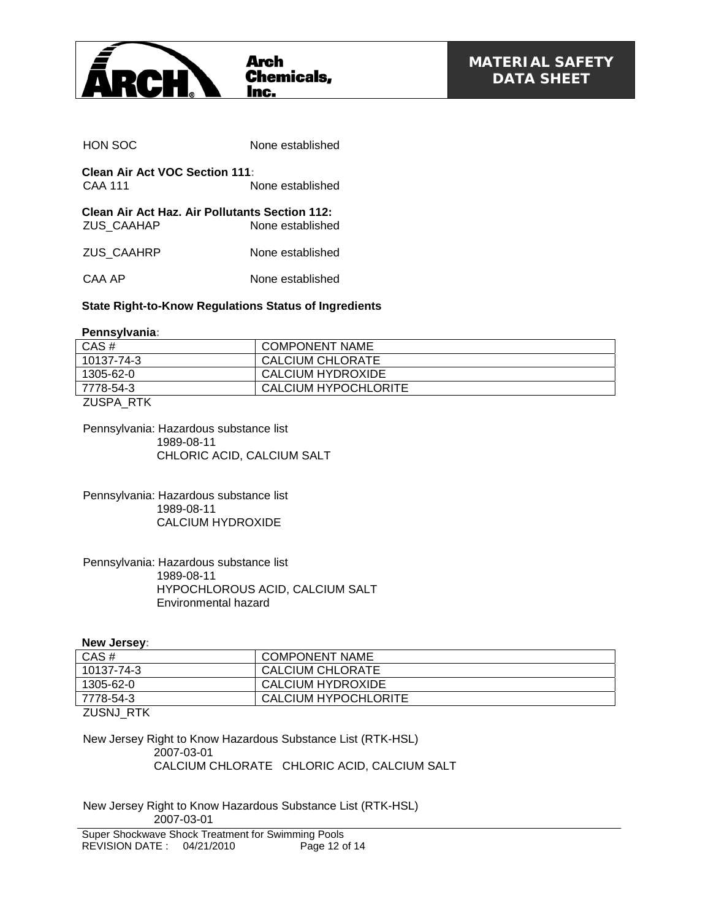

| HON SOC                                                      | None established |
|--------------------------------------------------------------|------------------|
| <b>Clean Air Act VOC Section 111:</b><br>CAA 111             | None established |
| Clean Air Act Haz. Air Pollutants Section 112:<br>ZUS CAAHAP | None established |
| ZUS CAAHRP                                                   | None established |
| CAA AP                                                       | None established |
|                                                              |                  |

## **State Right-to-Know Regulations Status of Ingredients**

**Pennsylvania:**

| CAS#       | <b>COMPONENT NAME</b> |
|------------|-----------------------|
| 10137-74-3 | CALCIUM CHLORATE      |
| 1305-62-0  | CALCIUM HYDROXIDE     |
| 7778-54-3  | CALCIUM HYPOCHLORITE  |
|            |                       |

ZUSPA\_RTK

Pennsylvania: Hazardous substance list 1989-08-11 CHLORIC ACID, CALCIUM SALT

Pennsylvania: Hazardous substance list 1989-08-11 CALCIUM HYDROXIDE

#### Pennsylvania: Hazardous substance list 1989-08-11 HYPOCHLOROUS ACID, CALCIUM SALT Environmental hazard

#### **New Jersey:**

| CAS#       | <b>COMPONENT NAME</b> |
|------------|-----------------------|
| 10137-74-3 | CALCIUM CHLORATE      |
| 1305-62-0  | CALCIUM HYDROXIDE     |
| 7778-54-3  | CALCIUM HYPOCHLORITE  |
|            |                       |

ZUSNJ\_RTK

New Jersey Right to Know Hazardous Substance List (RTK-HSL) 2007-03-01 CALCIUM CHLORATE CHLORIC ACID, CALCIUM SALT

New Jersey Right to Know Hazardous Substance List (RTK-HSL) 2007-03-01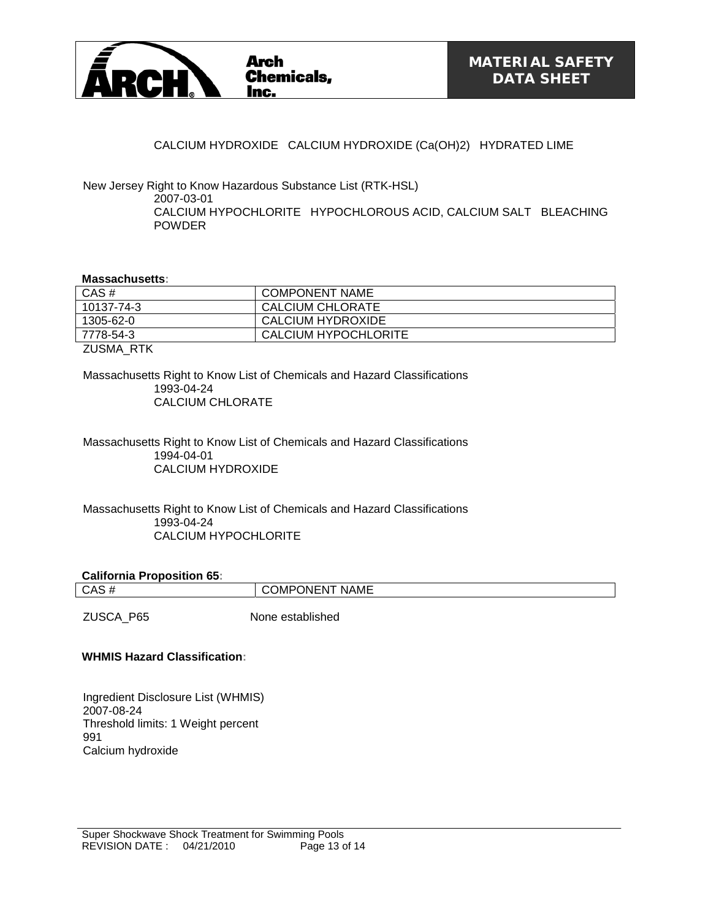

### CALCIUM HYDROXIDE CALCIUM HYDROXIDE (Ca(OH)2) HYDRATED LIME

New Jersey Right to Know Hazardous Substance List (RTK-HSL) 2007-03-01 CALCIUM HYPOCHLORITE HYPOCHLOROUS ACID, CALCIUM SALT BLEACHING POWDER

#### **Massachusetts:**

| CAS#        | <b>COMPONENT NAME</b> |
|-------------|-----------------------|
| 10137-74-3  | CALCIUM CHLORATE      |
| 1305-62-0   | CALCIUM HYDROXIDE     |
| 7778-54-3   | CALCIUM HYPOCHLORITE  |
| 7110111 F17 |                       |

ZUSMA\_RTK

Massachusetts Right to Know List of Chemicals and Hazard Classifications 1993-04-24 CALCIUM CHLORATE

Massachusetts Right to Know List of Chemicals and Hazard Classifications 1994-04-01 CALCIUM HYDROXIDE

Massachusetts Right to Know List of Chemicals and Hazard Classifications 1993-04-24 CALCIUM HYPOCHLORITE

#### **California Proposition 65:**

CAS # COMPONENT NAME

ZUSCA P65 None established

#### **WHMIS Hazard Classification:**

Ingredient Disclosure List (WHMIS) 2007-08-24 Threshold limits: 1 Weight percent 991 Calcium hydroxide